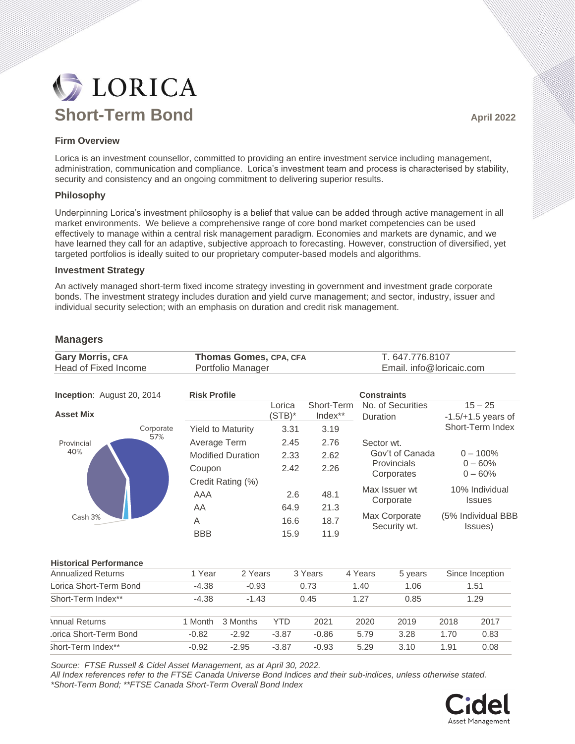# **DE LORICA Short-Term Bond April 2022**

## **Firm Overview**

Lorica is an investment counsellor, committed to providing an entire investment service including management, administration, communication and compliance. Lorica's investment team and process is characterised by stability, security and consistency and an ongoing commitment to delivering superior results.

### **Philosophy**

Underpinning Lorica's investment philosophy is a belief that value can be added through active management in all market environments. We believe a comprehensive range of core bond market competencies can be used effectively to manage within a central risk management paradigm. Economies and markets are dynamic, and we have learned they call for an adaptive, subjective approach to forecasting. However, construction of diversified, yet targeted portfolios is ideally suited to our proprietary computer-based models and algorithms.

#### **Investment Strategy**

An actively managed short-term fixed income strategy investing in government and investment grade corporate bonds. The investment strategy includes duration and yield curve management; and sector, industry, issuer and individual security selection; with an emphasis on duration and credit risk management.

## **Managers**

| <b>Gary Morris, CFA</b><br><b>Head of Fixed Income</b> | Thomas Gomes, CPA, CFA<br>Portfolio Manager |          |                     |                       | T. 647.776.8107<br>Email. info@loricaic.com |                                                            |      |                                                       |  |
|--------------------------------------------------------|---------------------------------------------|----------|---------------------|-----------------------|---------------------------------------------|------------------------------------------------------------|------|-------------------------------------------------------|--|
| Inception: August 20, 2014                             | <b>Risk Profile</b>                         |          |                     | <b>Constraints</b>    |                                             |                                                            |      |                                                       |  |
| <b>Asset Mix</b>                                       |                                             |          | Lorica<br>$(STB)^*$ | Short-Term<br>Index** |                                             | No. of Securities<br>Duration                              |      | $15 - 25$<br>$-1.5/+1.5$ years of<br>Short-Term Index |  |
| Corporate                                              | <b>Yield to Maturity</b>                    |          | 3.31                | 3.19                  |                                             |                                                            |      |                                                       |  |
| 57%<br>Provincial<br>40%<br>Cash 3%                    | Average Term                                |          | 2.45                | 2.76                  |                                             | Sector wt.<br>Gov't of Canada<br>Provincials<br>Corporates |      |                                                       |  |
|                                                        | <b>Modified Duration</b>                    |          | 2.33                | 2.62                  |                                             |                                                            |      | $0 - 100\%$<br>$0 - 60%$<br>$0 - 60%$                 |  |
|                                                        | Coupon                                      |          | 2.42                | 2.26                  |                                             |                                                            |      |                                                       |  |
|                                                        | Credit Rating (%)                           |          |                     |                       |                                             |                                                            |      |                                                       |  |
|                                                        | <b>AAA</b>                                  |          | 2.6                 | 48.1                  |                                             | Max Issuer wt<br>Corporate                                 |      | 10% Individual<br><b>Issues</b>                       |  |
|                                                        | AA                                          |          | 64.9                | 21.3                  |                                             |                                                            |      |                                                       |  |
|                                                        | A                                           |          |                     | 18.7                  |                                             | Max Corporate<br>Security wt.                              |      | (5% Individual BBB<br>Issues)                         |  |
|                                                        | <b>BBB</b>                                  |          | 15.9                | 11.9                  |                                             |                                                            |      |                                                       |  |
| <b>Historical Performance</b>                          |                                             |          |                     |                       |                                             |                                                            |      |                                                       |  |
| <b>Annualized Returns</b>                              | 1 Year                                      | 2 Years  |                     | 3 Years               | 4 Years                                     | 5 years                                                    |      | Since Inception                                       |  |
| Lorica Short-Term Bond                                 | $-4.38$                                     | $-0.93$  |                     | 0.73                  | 1.40                                        | 1.06                                                       |      | 1.51                                                  |  |
| Short-Term Index**                                     | $-4.38$                                     | $-1.43$  |                     | 0.45<br>1.27          |                                             | 0.85                                                       | 1.29 |                                                       |  |
| <b>Annual Returns</b>                                  | 1 Month                                     | 3 Months | <b>YTD</b>          | 2021                  | 2020                                        | 2019                                                       | 2018 | 2017                                                  |  |
| orica Short-Term Bond                                  | $-0.82$                                     | $-2.92$  | $-3.87$             | $-0.86$               | 5.79                                        | 3.28                                                       | 1.70 | 0.83                                                  |  |
| Short-Term Index**                                     | $-0.92$                                     | $-2.95$  | $-3.87$             | $-0.93$               | 5.29                                        | 3.10                                                       | 1.91 | 0.08                                                  |  |

*Source: FTSE Russell & Cidel Asset Management, as at April 30, 2022.*

*All Index references refer to the FTSE Canada Universe Bond Indices and their sub-indices, unless otherwise stated. \*Short-Term Bond; \*\*FTSE Canada Short-Term Overall Bond Index*